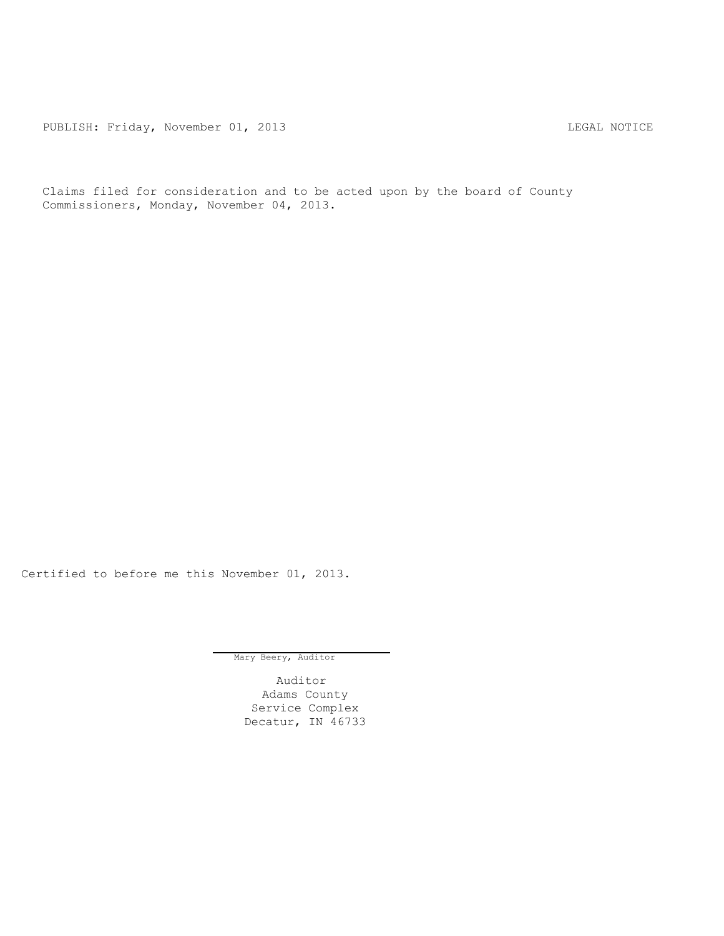PUBLISH: Friday, November 01, 2013 CHA CHANGE CONSERVATION CHANGE CONTROL PUBLISH: FRIDAY, NOTICE

Claims filed for consideration and to be acted upon by the board of County Commissioners, Monday, November 04, 2013.

Certified to before me this November 01, 2013.

Mary Beery, Auditor

Auditor Adams County Service Complex Decatur, IN 46733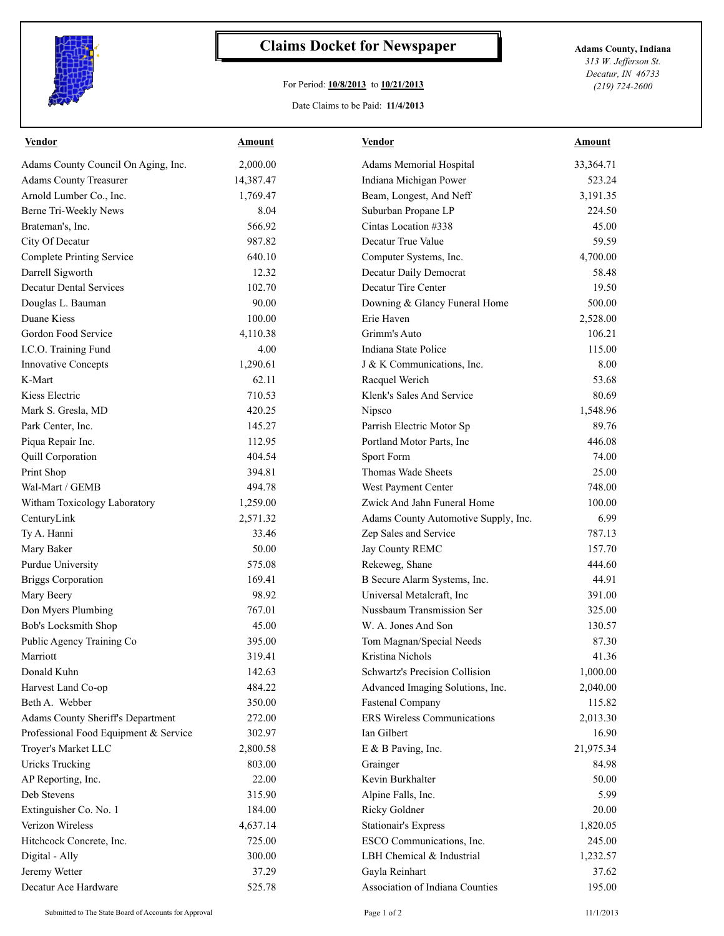

## **Claims Docket for Newspaper Adams County, Indiana**

## For Period: **10/8/2013** to **10/21/2013**

Date Claims to be Paid: **11/4/2013**

*313 W. Jefferson St. Decatur, IN 46733 (219) 724-2600*

| <b>Vendor</b>                            | <b>Amount</b> | <b>Vendor</b>                        | <b>Amount</b> |
|------------------------------------------|---------------|--------------------------------------|---------------|
| Adams County Council On Aging, Inc.      | 2,000.00      | Adams Memorial Hospital              | 33,364.71     |
| <b>Adams County Treasurer</b>            | 14,387.47     | Indiana Michigan Power               | 523.24        |
| Arnold Lumber Co., Inc.                  | 1,769.47      | Beam, Longest, And Neff              | 3,191.35      |
| Berne Tri-Weekly News                    | 8.04          | Suburban Propane LP                  | 224.50        |
| Brateman's, Inc.                         | 566.92        | Cintas Location #338                 | 45.00         |
| City Of Decatur                          | 987.82        | Decatur True Value                   | 59.59         |
| <b>Complete Printing Service</b>         | 640.10        | Computer Systems, Inc.               | 4,700.00      |
| Darrell Sigworth                         | 12.32         | Decatur Daily Democrat               | 58.48         |
| <b>Decatur Dental Services</b>           | 102.70        | Decatur Tire Center                  | 19.50         |
| Douglas L. Bauman                        | 90.00         | Downing & Glancy Funeral Home        | 500.00        |
| Duane Kiess                              | 100.00        | Erie Haven                           | 2,528.00      |
| Gordon Food Service                      | 4,110.38      | Grimm's Auto                         | 106.21        |
| I.C.O. Training Fund                     | 4.00          | Indiana State Police                 | 115.00        |
| <b>Innovative Concepts</b>               | 1,290.61      | J & K Communications, Inc.           | 8.00          |
| K-Mart                                   | 62.11         | Racquel Werich                       | 53.68         |
| Kiess Electric                           | 710.53        | Klenk's Sales And Service            | 80.69         |
| Mark S. Gresla, MD                       | 420.25        | Nipsco                               | 1,548.96      |
| Park Center, Inc.                        | 145.27        | Parrish Electric Motor Sp            | 89.76         |
| Piqua Repair Inc.                        | 112.95        | Portland Motor Parts, Inc            | 446.08        |
| <b>Quill Corporation</b>                 | 404.54        | Sport Form                           | 74.00         |
| Print Shop                               | 394.81        | Thomas Wade Sheets                   | 25.00         |
| Wal-Mart / GEMB                          | 494.78        | West Payment Center                  | 748.00        |
| Witham Toxicology Laboratory             | 1,259.00      | Zwick And Jahn Funeral Home          | 100.00        |
| CenturyLink                              | 2,571.32      | Adams County Automotive Supply, Inc. | 6.99          |
| Ty A. Hanni                              | 33.46         | Zep Sales and Service                | 787.13        |
| Mary Baker                               | 50.00         | Jay County REMC                      | 157.70        |
| <b>Purdue University</b>                 | 575.08        | Rekeweg, Shane                       | 444.60        |
| <b>Briggs Corporation</b>                | 169.41        | B Secure Alarm Systems, Inc.         | 44.91         |
| Mary Beery                               | 98.92         | Universal Metalcraft, Inc            | 391.00        |
| Don Myers Plumbing                       | 767.01        | Nussbaum Transmission Ser            | 325.00        |
| <b>Bob's Locksmith Shop</b>              | 45.00         | W. A. Jones And Son                  | 130.57        |
| Public Agency Training Co                | 395.00        | Tom Magnan/Special Needs             | 87.30         |
| Marriott                                 | 319.41        | Kristina Nichols                     | 41.36         |
| Donald Kuhn                              | 142.63        | Schwartz's Precision Collision       | 1,000.00      |
| Harvest Land Co-op                       | 484.22        | Advanced Imaging Solutions, Inc.     | 2,040.00      |
| Beth A. Webber                           | 350.00        | <b>Fastenal Company</b>              | 115.82        |
| <b>Adams County Sheriff's Department</b> | 272.00        | ERS Wireless Communications          | 2,013.30      |
| Professional Food Equipment & Service    | 302.97        | Ian Gilbert                          | 16.90         |
| Troyer's Market LLC                      | 2,800.58      | E & B Paving, Inc.                   | 21,975.34     |
| <b>Uricks Trucking</b>                   | 803.00        | Grainger                             | 84.98         |
| AP Reporting, Inc.                       | 22.00         | Kevin Burkhalter                     | 50.00         |
| Deb Stevens                              | 315.90        | Alpine Falls, Inc.                   | 5.99          |
| Extinguisher Co. No. 1                   | 184.00        | Ricky Goldner                        | 20.00         |
| Verizon Wireless                         | 4,637.14      | Stationair's Express                 | 1,820.05      |
| Hitchcock Concrete, Inc.                 | 725.00        | ESCO Communications, Inc.            | 245.00        |
| Digital - Ally                           | 300.00        | LBH Chemical & Industrial            | 1,232.57      |
| Jeremy Wetter                            | 37.29         | Gayla Reinhart                       | 37.62         |
| Decatur Ace Hardware                     | 525.78        | Association of Indiana Counties      | 195.00        |